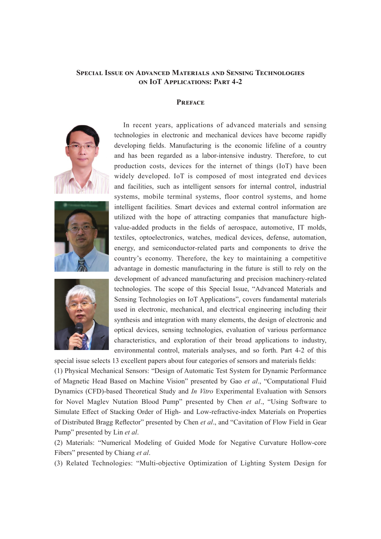## **Special Issue on Advanced Materials and Sensing Technologies on IoT Applications: Part 4-2**

## **Preface**







In recent years, applications of advanced materials and sensing technologies in electronic and mechanical devices have become rapidly developing fields. Manufacturing is the economic lifeline of a country and has been regarded as a labor-intensive industry. Therefore, to cut production costs, devices for the internet of things (IoT) have been widely developed. IoT is composed of most integrated end devices and facilities, such as intelligent sensors for internal control, industrial systems, mobile terminal systems, floor control systems, and home intelligent facilities. Smart devices and external control information are utilized with the hope of attracting companies that manufacture highvalue-added products in the fields of aerospace, automotive, IT molds, textiles, optoelectronics, watches, medical devices, defense, automation, energy, and semiconductor-related parts and components to drive the country's economy. Therefore, the key to maintaining a competitive advantage in domestic manufacturing in the future is still to rely on the development of advanced manufacturing and precision machinery-related technologies. The scope of this Special Issue, "Advanced Materials and Sensing Technologies on IoT Applications", covers fundamental materials used in electronic, mechanical, and electrical engineering including their synthesis and integration with many elements, the design of electronic and optical devices, sensing technologies, evaluation of various performance characteristics, and exploration of their broad applications to industry, environmental control, materials analyses, and so forth. Part 4-2 of this

special issue selects 13 excellent papers about four categories of sensors and materials fields: (1) Physical Mechanical Sensors: "Design of Automatic Test System for Dynamic Performance of Magnetic Head Based on Machine Vision" presented by Gao *et al*., "Computational Fluid Dynamics (CFD)-based Theoretical Study and *In Vitro* Experimental Evaluation with Sensors for Novel Maglev Nutation Blood Pump" presented by Chen *et al*., "Using Software to Simulate Effect of Stacking Order of High- and Low-refractive-index Materials on Properties of Distributed Bragg Reflector" presented by Chen *et al*., and "Cavitation of Flow Field in Gear Pump" presented by Lin *et al*.

(2) Materials: "Numerical Modeling of Guided Mode for Negative Curvature Hollow-core Fibers" presented by Chiang *et al*.

(3) Related Technologies: "Multi-objective Optimization of Lighting System Design for